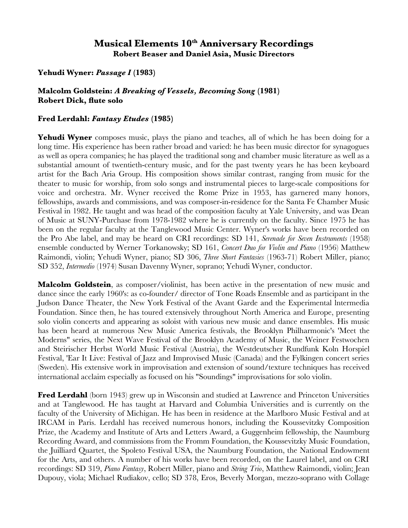## **Musical Elements 10th Anniversary Recordings Robert Beaser and Daniel Asia, Music Directors**

**Yehudi Wyner:** *Passage I* **(1983)**

**Malcolm Goldstein:** *A Breaking of Vessels, Becoming Song* **(1981) Robert Dick, fute solo**

## **Fred Lerdahl:** *Fantasy Etudes* **(1985)**

Yehudi Wyner composes music, plays the piano and teaches, all of which he has been doing for a long time. His experience has been rather broad and varied: he has been music director for synagogues as well as opera companies; he has played the traditional song and chamber music literature as well as a substantial amount of twentieth-century music, and for the past twenty years he has been keyboard artist for the Bach Aria Group. His composition shows similar contrast, ranging from music for the theater to music for worship, from solo songs and instrumental pieces to large-scale compositions for voice and orchestra. Mr. Wyner received the Rome Prize in 1953, has garnered many honors, fellowships, awards and commissions, and was composer-in-residence for the Santa Fe Chamber Music Festival in 1982. He taught and was head of the composition faculty at Yale University, and was Dean of Music at SUNY-Purchase from 1978-1982 where he is currently on the faculty. Since 1975 he has been on the regular faculty at the Tanglewood Music Center. Wyner's works have been recorded on the Pro Abe label, and may be heard on CRI recordings: SD 141, *Serenade for Seven Instruments* (1958) ensemble conducted by Werner Torkanowsky; SD 161, *Concert Duo for Violin and Piano* (1956) Matthew Raimondi, violin; Yehudi Wyner, piano; SD 306, *Three Short Fantasies* (1963-71) Robert Miller, piano; SD 352, *Intermedio* (1974) Susan Davenny Wyner, soprano; Yehudi Wyner, conductor.

**Malcolm Goldstein**, as composer/violinist, has been active in the presentation of new music and dance since the early 1960's: as co-founder/ director of Tone Roads Ensemble and as participant in the Judson Dance Theater, the New York Festival of the Avant Garde and the Experimental lntermedia Foundation. Since then, he has toured extensively throughout North America and Europe, presenting solo violin concerts and appearing as soloist with various new music and dance ensembles. His music has been heard at numerous New Music America festivals, the Brooklyn Philharmonic's 'Meet the Moderns" series, the Next Wave Festival of the Brooklyn Academy of Music, the Weiner Festwochen and Steirischer Herbst World Music Festival (Austria), the Westdeutscher Rundfunk Koln Horspiel Festival, 'Ear It Live: Festival of Jazz and Improvised Music (Canada) and the Fylkingen concert series (Sweden). His extensive work in improvisation and extension of sound/texture techniques has received international acclaim especially as focused on his "Soundings" improvisations for solo violin.

**Fred Lerdahl** (born 1943) grew up in Wisconsin and studied at Lawrence and Princeton Universities and at Tanglewood. He has taught at Harvard and Columbia Universities and is currently on the faculty of the University of Michigan. He has been in residence at the Marlboro Music Festival and at IRCAM in Paris. Lerdahl has received numerous honors, including the Koussevitzky Composition Prize, the Academy and Institute of Arts and Letters Award, a Guggenheim fellowship, the Naumburg Recording Award, and commissions from the Fromm Foundation, the Koussevitzky Music Foundation, the Juilliard Quartet, the Spoleto Festival USA, the Naumburg Foundation, the National Endowment for the Arts, and others. A number of his works have been recorded, on the Laurel label, and on CRI recordings: SD 319, *Piano Fantasy*, Robert Miller, piano and *String Trio*, Matthew Raimondi, violin; Jean Dupouy, viola; Michael Rudiakov, cello; SD 378, Eros, Beverly Morgan, mezzo-soprano with Collage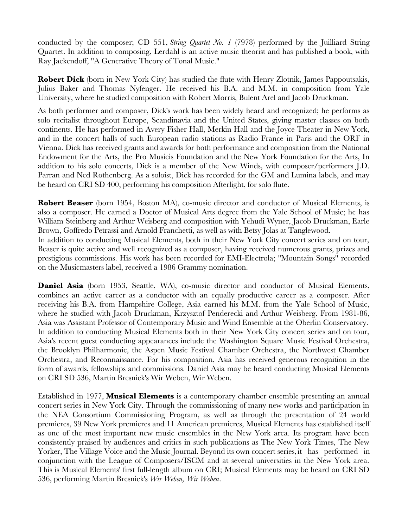conducted by the composer; CD 551, *String Quartet No. 1* (7978) performed by the Juilliard String Quartet. In addition to composing, Lerdahl is an active music theorist and has published a book, with Ray Jackendoff, "A Generative Theory of Tonal Music."

**Robert Dick** (born in New York City) has studied the fute with Henry Zlotnik, James Pappoutsakis, Julius Baker and Thomas Nyfenger. He received his B.A. and M.M. in composition from Yale University, where he studied composition with Robert Morris, Bulent Arel and Jacob Druckman.

As both performer and composer, Dick's work has been widely heard and recognized; he performs as solo recitalist throughout Europe, Scandinavia and the United States, giving master classes on both continents. He has performed in Avery Fisher Hall, Merkin Hall and the Joyce Theater in New York, and in the concert halls of such European radio stations as Radio France in Paris and the ORF in Vienna. Dick has received grants and awards for both performance and composition from the National Endowment for the Arts, the Pro Musicis Foundation and the New York Foundation for the Arts, In addition to his solo concerts, Dick is a member of the New Winds, with composer/performers J.D. Parran and Ned Rothenberg. As a soloist, Dick has recorded for the GM and Lumina labels, and may be heard on CRI SD 400, performing his composition Afterlight, for solo fute.

**Robert Beaser** (born 1954, Boston MA), co-music director and conductor of Musical Elements, is also a composer. He earned a Doctor of Musical Arts degree from the Yale School of Music; he has William Steinberg and Arthur Weisberg and composition with Yehudi Wyner, Jacob Druckman, Earle Brown, Goffredo Petrassi and Arnold Franchetti, as well as with Betsy Jolas at Tanglewood.

In addition to conducting Musical Elements, both in their New York City concert series and on tour, Beaser is quite active and well recognized as a composer, having received numerous grants, prizes and prestigious commissions. His work has been recorded for EMI-Electrola; "Mountain Songs" recorded on the Musicmasters label, received a 1986 Grammy nomination.

Daniel Asia (born 1953, Seattle, WA), co-music director and conductor of Musical Elements, combines an active career as a conductor with an equally productive career as a composer. After receiving his B.A. from Hampshire College, Asia earned his M.M. from the Yale School of Music, where he studied with Jacob Druckman, Krzysztof Penderecki and Arthur Weisberg. From 1981-86, Asia was Assistant Professor of Contemporary Music and Wind Ensemble at the Oberlin Conservatory. In addition to conducting Musical Elements both in their New York City concert series and on tour, Asia's recent guest conducting appearances include the Washington Square Music Festival Orchestra, the Brooklyn Philharmonic, the Aspen Music Festival Chamber Orchestra, the Northwest Chamber Orchestra, and Reconnaissance. For his composition, Asia has received generous recognition in the form of awards, fellowships and commissions. Daniel Asia may be heard conducting Musical Elements on CRI SD 536, Martin Bresnick's Wir Weben, Wir Weben.

Established in 1977, **Musical Elements** is a contemporary chamber ensemble presenting an annual concert series in New York City. Through the commissioning of many new works and participation in the NEA Consortium Commissioning Program, as well as through the presentation of 24 world premieres, 39 New York premieres and 11 American premieres, Musical Elements has established itself as one of the most important new music ensembles in the New York area. Its program have been consistently praised by audiences and critics in such publications as The New York Times, The New Yorker, The Village Voice and the Music Journal. Beyond its own concert series, it has performed in conjunction with the League of Composers/ISCM and at several universities in the New York area. This is Musical Elements' frst full-length album on CRI; Musical Elements may be heard on CRI SD 536, performing Martin Bresnick's *Wir Weben, Wir Weben*.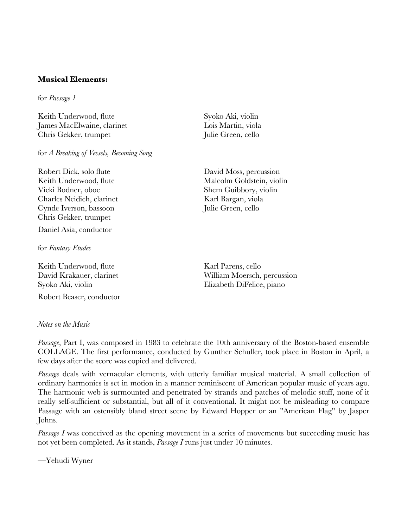## **Musical Elements:**

for *Passage 1*

Keith Underwood, fute James MacElwaine, clarinet Chris Gekker, trumpet

for *A Breaking of Vessels, Becoming Song*

Robert Dick, solo fute Keith Underwood, fute Vicki Bodner, oboe Charles Neidich, clarinet Cynde Iverson, bassoon Chris Gekker, trumpet Daniel Asia, conductor

for *Fantasy Etudes*

Keith Underwood, fute David Krakauer, clarinet Syoko Aki, violin

Robert Beaser, conductor

*Notes on the Music*

Syoko Aki, violin Lois Martin, viola Julie Green, cello

David Moss, percussion Malcolm Goldstein, violin Shem Guibbory, violin Karl Bargan, viola Julie Green, cello

Karl Parens, cello William Moersch, percussion Elizabeth DiFelice, piano

*Passage*, Part I, was composed in 1983 to celebrate the 10th anniversary of the Boston-based ensemble COLLAGE. The frst performance, conducted by Gunther Schuller, took place in Boston in April, a few days after the score was copied and delivered.

*Passage* deals with vernacular elements, with utterly familiar musical material. A small collection of ordinary harmonies is set in motion in a manner reminiscent of American popular music of years ago. The harmonic web is surmounted and penetrated by strands and patches of melodic stuff, none of it really self-suffcient or substantial, but all of it conventional. It might not be misleading to compare Passage with an ostensibly bland street scene by Edward Hopper or an "American Flag" by Jasper Johns.

*Passage I* was conceived as the opening movement in a series of movements but succeeding music has not yet been completed. As it stands, *Passage I* runs just under 10 minutes.

—Yehudi Wyner